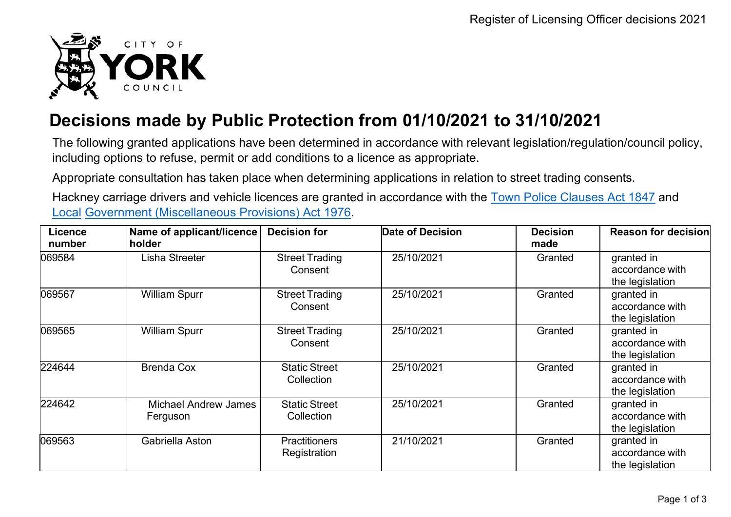

## **Decisions made by Public Protection from 01/10/2021 to 31/10/2021**

The following granted applications have been determined in accordance with relevant legislation/regulation/council policy, including options to refuse, permit or add conditions to a licence as appropriate.

Appropriate consultation has taken place when determining applications in relation to street trading consents.

Hackney carriage drivers and vehicle licences are granted in accordance with the Town Police [Clauses](http://www.legislation.gov.uk/ukpga/Vict/10-11/89) Act 1847 and [Local](http://www.legislation.gov.uk/ukpga/1976/57) [Government \(Miscellaneous Provisions\) Act 1976.](http://www.legislation.gov.uk/ukpga/1976/57)

| Licence<br>number | Name of applicant/licence<br>holder     | <b>Decision for</b>                  | Date of Decision | <b>Decision</b><br>made | Reason for decision                              |
|-------------------|-----------------------------------------|--------------------------------------|------------------|-------------------------|--------------------------------------------------|
| 069584            | Lisha Streeter                          | <b>Street Trading</b><br>Consent     | 25/10/2021       | Granted                 | granted in<br>accordance with<br>the legislation |
| 069567            | <b>William Spurr</b>                    | <b>Street Trading</b><br>Consent     | 25/10/2021       | Granted                 | granted in<br>accordance with<br>the legislation |
| 069565            | <b>William Spurr</b>                    | <b>Street Trading</b><br>Consent     | 25/10/2021       | Granted                 | granted in<br>accordance with<br>the legislation |
| 224644            | <b>Brenda Cox</b>                       | <b>Static Street</b><br>Collection   | 25/10/2021       | Granted                 | granted in<br>accordance with<br>the legislation |
| 224642            | <b>Michael Andrew James</b><br>Ferguson | <b>Static Street</b><br>Collection   | 25/10/2021       | Granted                 | granted in<br>accordance with<br>the legislation |
| 069563            | Gabriella Aston                         | <b>Practitioners</b><br>Registration | 21/10/2021       | Granted                 | granted in<br>accordance with<br>the legislation |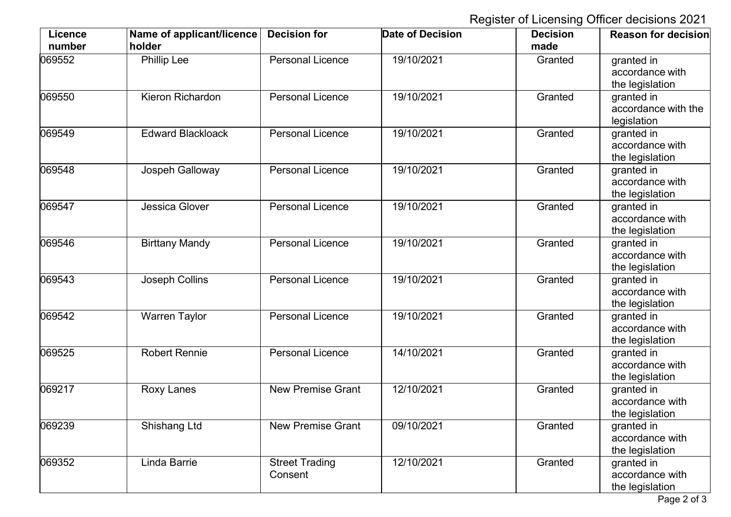Register of Licensing Officer decisions 2021

| Licence<br>number | Name of applicant/licence<br>holder | <b>Decision for</b>              | <b>Date of Decision</b> | <b>Decision</b><br>made | <b>Reason for decision</b>                       |
|-------------------|-------------------------------------|----------------------------------|-------------------------|-------------------------|--------------------------------------------------|
| 069552            | <b>Phillip Lee</b>                  | <b>Personal Licence</b>          | 19/10/2021              | Granted                 | granted in<br>accordance with<br>the legislation |
| 069550            | Kieron Richardon                    | <b>Personal Licence</b>          | 19/10/2021              | Granted                 | granted in<br>accordance with the<br>legislation |
| 069549            | <b>Edward Blackloack</b>            | <b>Personal Licence</b>          | 19/10/2021              | Granted                 | granted in<br>accordance with<br>the legislation |
| 069548            | Jospeh Galloway                     | <b>Personal Licence</b>          | 19/10/2021              | Granted                 | granted in<br>accordance with<br>the legislation |
| 069547            | Jessica Glover                      | <b>Personal Licence</b>          | 19/10/2021              | Granted                 | granted in<br>accordance with<br>the legislation |
| 069546            | <b>Birttany Mandy</b>               | <b>Personal Licence</b>          | 19/10/2021              | Granted                 | granted in<br>accordance with<br>the legislation |
| 069543            | Joseph Collins                      | <b>Personal Licence</b>          | 19/10/2021              | Granted                 | granted in<br>accordance with<br>the legislation |
| 069542            | <b>Warren Taylor</b>                | <b>Personal Licence</b>          | 19/10/2021              | Granted                 | granted in<br>accordance with<br>the legislation |
| 069525            | <b>Robert Rennie</b>                | <b>Personal Licence</b>          | 14/10/2021              | Granted                 | granted in<br>accordance with<br>the legislation |
| 069217            | <b>Roxy Lanes</b>                   | <b>New Premise Grant</b>         | 12/10/2021              | Granted                 | granted in<br>accordance with<br>the legislation |
| 069239            | Shishang Ltd                        | <b>New Premise Grant</b>         | 09/10/2021              | Granted                 | granted in<br>accordance with<br>the legislation |
| 069352            | Linda Barrie                        | <b>Street Trading</b><br>Consent | 12/10/2021              | Granted                 | granted in<br>accordance with<br>the legislation |